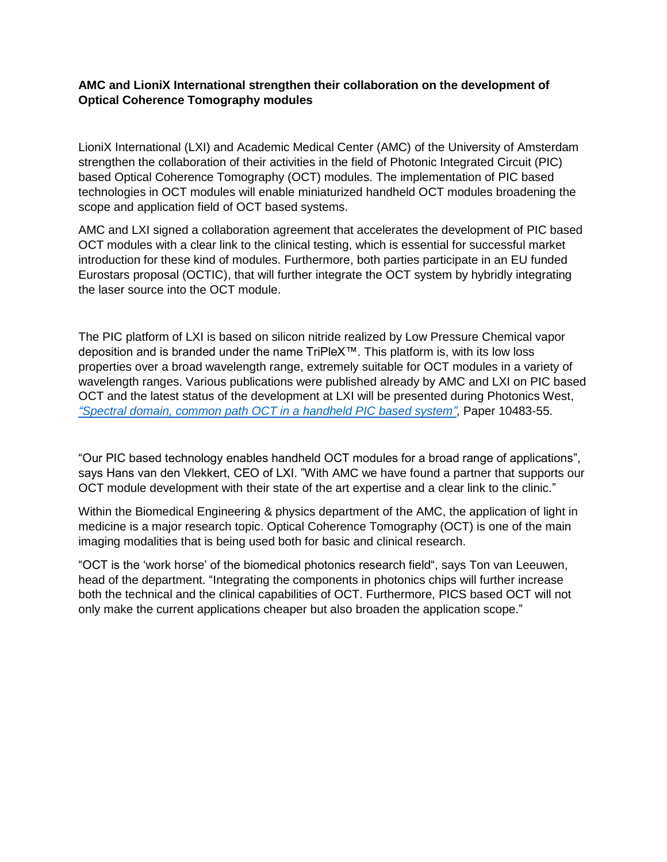## **AMC and LioniX International strengthen their collaboration on the development of Optical Coherence Tomography modules**

LioniX International (LXI) and Academic Medical Center (AMC) of the University of Amsterdam strengthen the collaboration of their activities in the field of Photonic Integrated Circuit (PIC) based Optical Coherence Tomography (OCT) modules. The implementation of PIC based technologies in OCT modules will enable miniaturized handheld OCT modules broadening the scope and application field of OCT based systems.

AMC and LXI signed a collaboration agreement that accelerates the development of PIC based OCT modules with a clear link to the clinical testing, which is essential for successful market introduction for these kind of modules. Furthermore, both parties participate in an EU funded Eurostars proposal (OCTIC), that will further integrate the OCT system by hybridly integrating the laser source into the OCT module.

The PIC platform of LXI is based on silicon nitride realized by Low Pressure Chemical vapor deposition and is branded under the name TriPleX™. This platform is, with its low loss properties over a broad wavelength range, extremely suitable for OCT modules in a variety of wavelength ranges. Various publications were published already by AMC and LXI on PIC based OCT and the latest status of the development at LXI will be presented during Photonics West, *["Spectral domain, common path OCT in a handheld PIC based system"](http://bit.ly/OCTatPW)*, Paper 10483-55.

"Our PIC based technology enables handheld OCT modules for a broad range of applications", says Hans van den Vlekkert, CEO of LXI. "With AMC we have found a partner that supports our OCT module development with their state of the art expertise and a clear link to the clinic."

Within the Biomedical Engineering & physics department of the AMC, the application of light in medicine is a major research topic. Optical Coherence Tomography (OCT) is one of the main imaging modalities that is being used both for basic and clinical research.

"OCT is the 'work horse' of the biomedical photonics research field", says Ton van Leeuwen, head of the department. "Integrating the components in photonics chips will further increase both the technical and the clinical capabilities of OCT. Furthermore, PICS based OCT will not only make the current applications cheaper but also broaden the application scope."